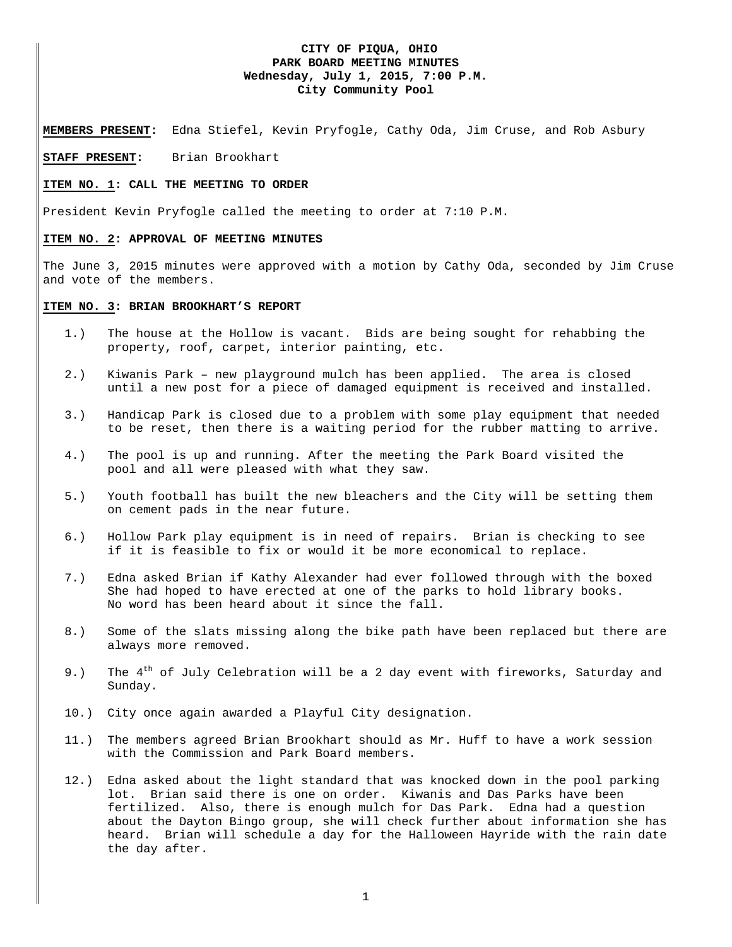## **CITY OF PIQUA, OHIO PARK BOARD MEETING MINUTES Wednesday, July 1, 2015, 7:00 P.M. City Community Pool**

**MEMBERS PRESENT:** Edna Stiefel, Kevin Pryfogle, Cathy Oda, Jim Cruse, and Rob Asbury

#### **STAFF PRESENT:** Brian Brookhart

#### **ITEM NO. 1: CALL THE MEETING TO ORDER**

President Kevin Pryfogle called the meeting to order at 7:10 P.M.

#### **ITEM NO. 2: APPROVAL OF MEETING MINUTES**

The June 3, 2015 minutes were approved with a motion by Cathy Oda, seconded by Jim Cruse and vote of the members.

### **ITEM NO. 3: BRIAN BROOKHART'S REPORT**

- 1.) The house at the Hollow is vacant. Bids are being sought for rehabbing the property, roof, carpet, interior painting, etc.
- 2.) Kiwanis Park new playground mulch has been applied. The area is closed until a new post for a piece of damaged equipment is received and installed.
- 3.) Handicap Park is closed due to a problem with some play equipment that needed to be reset, then there is a waiting period for the rubber matting to arrive.
- 4.) The pool is up and running. After the meeting the Park Board visited the pool and all were pleased with what they saw.
- 5.) Youth football has built the new bleachers and the City will be setting them on cement pads in the near future.
- 6.) Hollow Park play equipment is in need of repairs. Brian is checking to see if it is feasible to fix or would it be more economical to replace.
- 7.) Edna asked Brian if Kathy Alexander had ever followed through with the boxed She had hoped to have erected at one of the parks to hold library books. No word has been heard about it since the fall.
- 8.) Some of the slats missing along the bike path have been replaced but there are always more removed.
- 9.) The  $4^{\text{th}}$  of July Celebration will be a 2 day event with fireworks, Saturday and Sunday.
- 10.) City once again awarded a Playful City designation.
- 11.) The members agreed Brian Brookhart should as Mr. Huff to have a work session with the Commission and Park Board members.
- 12.) Edna asked about the light standard that was knocked down in the pool parking lot. Brian said there is one on order. Kiwanis and Das Parks have been fertilized. Also, there is enough mulch for Das Park. Edna had a question about the Dayton Bingo group, she will check further about information she has heard. Brian will schedule a day for the Halloween Hayride with the rain date the day after.